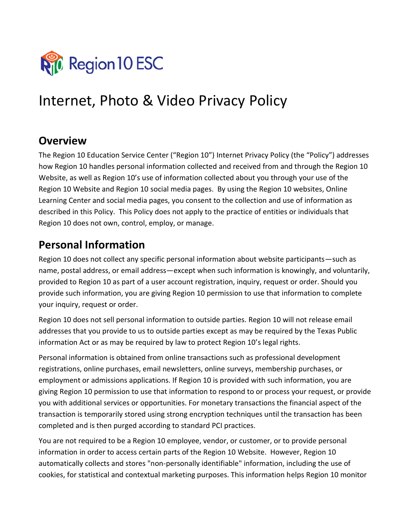

# Internet, Photo & Video Privacy Policy

#### **Overview**

The Region 10 Education Service Center ("Region 10") Internet Privacy Policy (the "Policy") addresses how Region 10 handles personal information collected and received from and through the Region 10 Website, as well as Region 10's use of information collected about you through your use of the Region 10 Website and Region 10 social media pages. By using the Region 10 websites, Online Learning Center and social media pages, you consent to the collection and use of information as described in this Policy. This Policy does not apply to the practice of entities or individuals that Region 10 does not own, control, employ, or manage.

#### **Personal Information**

Region 10 does not collect any specific personal information about website participants—such as name, postal address, or email address—except when such information is knowingly, and voluntarily, provided to Region 10 as part of a user account registration, inquiry, request or order. Should you provide such information, you are giving Region 10 permission to use that information to complete your inquiry, request or order.

Region 10 does not sell personal information to outside parties. Region 10 will not release email addresses that you provide to us to outside parties except as may be required by the Texas Public information Act or as may be required by law to protect Region 10's legal rights.

Personal information is obtained from online transactions such as professional development registrations, online purchases, email newsletters, online surveys, membership purchases, or employment or admissions applications. If Region 10 is provided with such information, you are giving Region 10 permission to use that information to respond to or process your request, or provide you with additional services or opportunities. For monetary transactions the financial aspect of the transaction is temporarily stored using strong encryption techniques until the transaction has been completed and is then purged according to standard PCI practices.

You are not required to be a Region 10 employee, vendor, or customer, or to provide personal information in order to access certain parts of the Region 10 Website. However, Region 10 automatically collects and stores "non-personally identifiable" information, including the use of cookies, for statistical and contextual marketing purposes. This information helps Region 10 monitor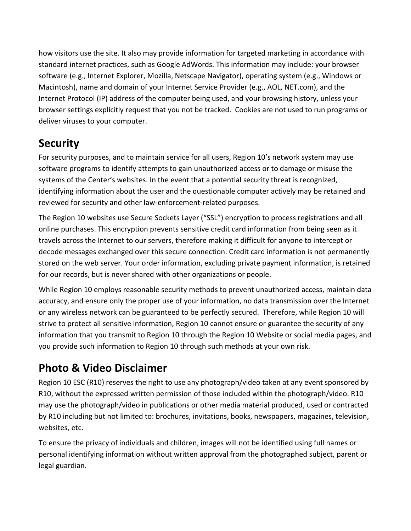how visitors use the site. It also may provide information for targeted marketing in accordance with standard internet practices, such as Google AdWords. This information may include: your browser software (e.g., Internet Explorer, Mozilla, Netscape Navigator), operating system (e.g., Windows or Macintosh), name and domain of your Internet Service Provider (e.g., AOL, NET.com), and the Internet Protocol (IP) address of the computer being used, and your browsing history, unless your browser settings explicitly request that you not be tracked. Cookies are not used to run programs or deliver viruses to your computer.

### **Security**

For security purposes, and to maintain service for all users, Region 10's network system may use software programs to identify attempts to gain unauthorized access or to damage or misuse the systems of the Center's websites. In the event that a potential security threat is recognized, identifying information about the user and the questionable computer actively may be retained and reviewed for security and other law-enforcement-related purposes.

The Region 10 websites use Secure Sockets Layer ("SSL") encryption to process registrations and all online purchases. This encryption prevents sensitive credit card information from being seen as it travels across the Internet to our servers, therefore making it difficult for anyone to intercept or decode messages exchanged over this secure connection. Credit card information is not permanently stored on the web server. Your order information, excluding private payment information, is retained for our records, but is never shared with other organizations or people.

While Region 10 employs reasonable security methods to prevent unauthorized access, maintain data accuracy, and ensure only the proper use of your information, no data transmission over the Internet or any wireless network can be guaranteed to be perfectly secured. Therefore, while Region 10 will strive to protect all sensitive information, Region 10 cannot ensure or guarantee the security of any information that you transmit to Region 10 through the Region 10 Website or social media pages, and you provide such information to Region 10 through such methods at your own risk.

## **Photo & Video Disclaimer**

Region 10 ESC (R10) reserves the right to use any photograph/video taken at any event sponsored by R10, without the expressed written permission of those included within the photograph/video. R10 may use the photograph/video in publications or other media material produced, used or contracted by R10 including but not limited to: brochures, invitations, books, newspapers, magazines, television, websites, etc.

To ensure the privacy of individuals and children, images will not be identified using full names or personal identifying information without written approval from the photographed subject, parent or legal guardian.